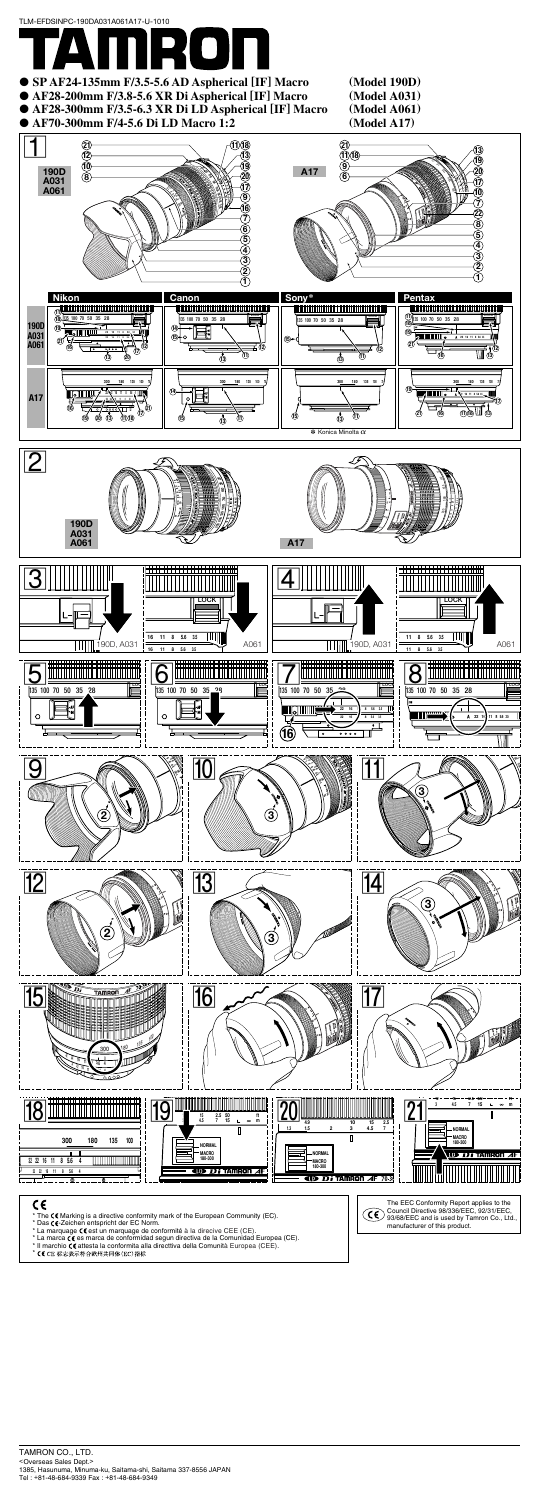



### $\epsilon$

- \* The C6 Marking is a directive conformity mark of the European Community (EC).
- 
- \* Das **C€**-Zeichen entspricht der EC Norm.<br>\* La marquage **C€** est un marquage de conformité à la direcive CEE (CE).
- \* La marca **C€** es marca de conformidad segun directiva de la Comunidad Europea (CE).<br>\* Il marchio **C€** attesta la conformita alla directtiva della Comunità Europea (CEE).
- 
- \* CCCE 标志表示符合欧州共同体(EC)指标

The EEC Conformity Report applies to the Council Directive 98/336/EEC, 92/31/EEC, 93/68/EEC and is used by Tamron Co., Ltd., manufacturer of this product.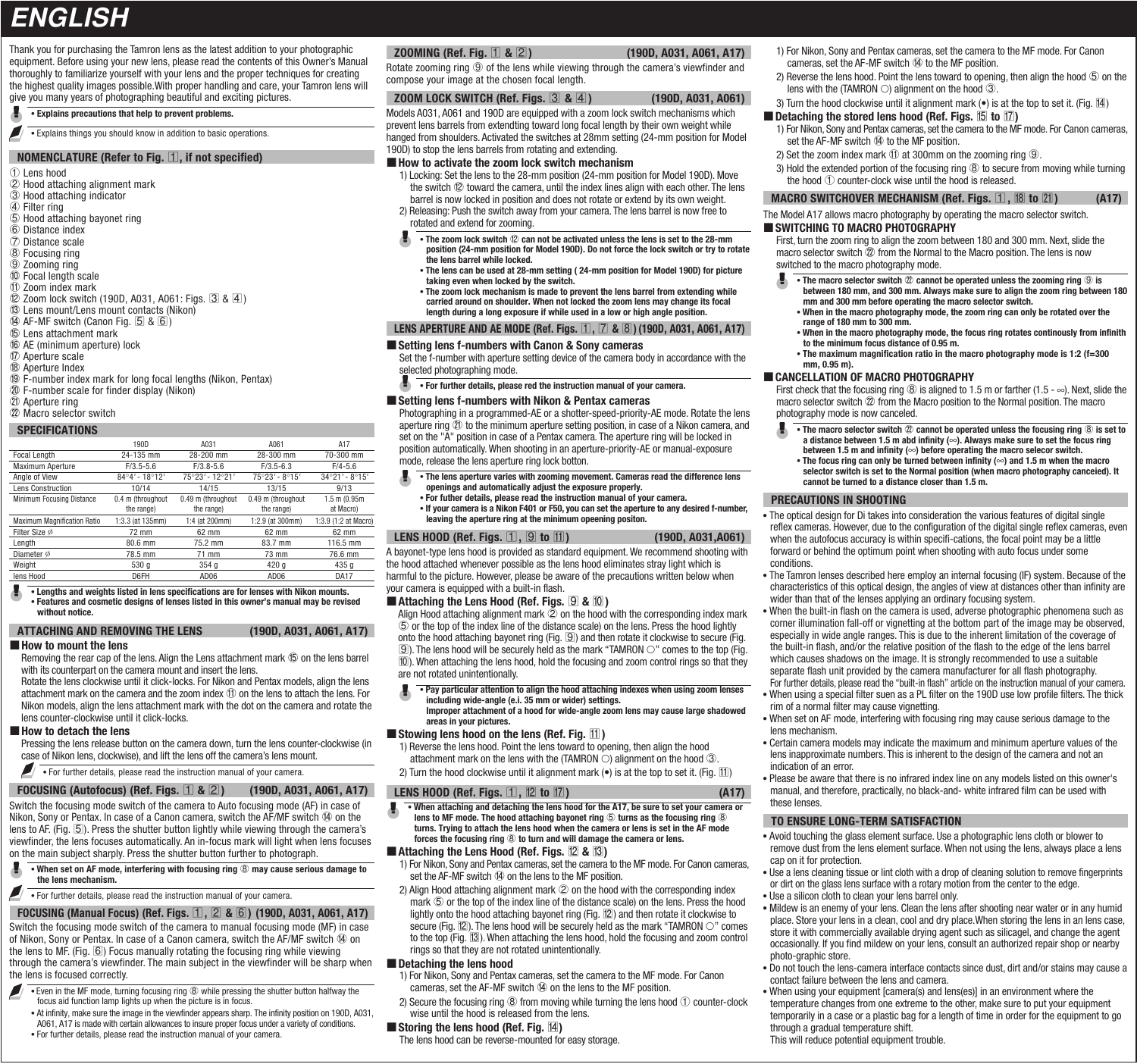# **ENGLISH**

Thank you for purchasing the Tamron lens as the latest addition to your photographic equipment. Before using your new lens, please read the contents of this Owner's Manual thoroughly to familiarize yourself with your lens and the proper techniques for creating the highest quality images possible.With proper handling and care, your Tamron lens will give you many years of photographing beautiful and exciting pictures.

#### **Explains precautions that help to prevent problems.**

 $\blacksquare$ Explains things you should know in addition to basic operations.

#### **NOMENCLATURE (Refer to Fig. 1), if not specified)**

1 Lens hood 2 Hood attaching alignment mark 3 Hood attaching indicator  $\overline{4}$  Filter ring  $\overline{6}$  Hood attaching bayonet ring 6 Distance index 7 Distance scale 8 Focusing ring 9 Zooming ring 0 Focal length scale  $0$  Zoom index mark <sup>(2)</sup> Zoom lock switch (190D, A031, A061: Figs. 3 & 4) <sup>(3)</sup> Lens mount/Lens mount contacts (Nikon)  $\overline{49}$  AF-MF switch (Canon Fig. 5 & 6) **15 Lens attachment mark 6** AE (minimum aperture) lock  $\overline{v}$  Aperture scale 18 Aperture Index <sup>(9)</sup> F-number index mark for long focal lengths (Nikon, Pentax)  $\omega$  F-number scale for finder display (Nikon) **20 Aperture ring** 22 Macro selector switch

#### **SPECIFICATIONS**

|                                    | 190D                    | A031                                      | A061               | A17                              |  |
|------------------------------------|-------------------------|-------------------------------------------|--------------------|----------------------------------|--|
| Focal Length                       | 24-135 mm               | 28-200 mm                                 | 28-300 mm          | 70-300 mm                        |  |
| Maximum Aperture                   | $F/3.5 - 5.6$           | $F/3.8 - 5.6$                             | $F/3.5 - 6.3$      | $F/4 - 5.6$                      |  |
| Angle of View                      | $84^{\circ}4'$ - 18°12' | 75°23' - 12°21'                           | $75°23' - 8°15'$   | $34^{\circ}21'$ - $8^{\circ}15'$ |  |
| <b>Lens Construction</b>           | 10/14                   | 14/15                                     | 13/15              | 9/13                             |  |
| Minimum Focusing Distance          | 0.4 m (throughout       | 0.49 m (throughout)<br>0.49 m (throughout |                    | $1.5$ m $(0.95m)$                |  |
|                                    | the range)              | the range)                                | the range)         | at Macro)                        |  |
| <b>Maximum Magnification Ratio</b> | 1:3.3 (at 135mm)        | 1:4 (at 200mm)                            | $1:2.9$ (at 300mm) | 1:3.9 (1:2 at Macro)             |  |
| Filter Size Ø                      | 72 mm                   | $62 \text{ mm}$                           | $62 \text{ mm}$    | 62 mm                            |  |
| Length                             | 80.6 mm                 | 75.2 mm                                   | 83.7 mm            | 116.5 mm                         |  |
| Diameter Ø                         | 78.5 mm                 | 71 mm                                     | 76.6 mm<br>73 mm   |                                  |  |
| Weight                             | 530 g                   | 354 <sub>q</sub>                          | 420 <sub>a</sub>   | 435 <sub>q</sub>                 |  |
| lens Hood                          | D6FH                    | AD06                                      | AD06               | <b>DA17</b>                      |  |

#### **Lengths and weights listed in lens specifications are for lenses with Nikon mounts. Features and cosmetic designs of lenses listed in this owner's manual may be revised without notice.**

#### **ATTACHING AND REMOVING THE LENS (190D, A031, A061, A17)**

#### **How to mount the lens**

Removing the rear cap of the lens. Align the Lens attachment mark  $\circledB$  on the lens barrel with its counterpart on the camera mount and insert the lens.

Rotate the lens clockwise until it click-locks. For Nikon and Pentax models, align the lens attachment mark on the camera and the zoom index  $\textcircled{1}$  on the lens to attach the lens. For Nikon models, align the lens attachment mark with the dot on the camera and rotate the lens counter-clockwise until it click-locks.

#### **How to detach the lens**

Pressing the lens release button on the camera down, turn the lens counter-clockwise (in case of Nikon lens, clockwise), and lift the lens off the camera's lens mount.

For further details, please read the instruction manual of your camera.

Switch the focusing mode switch of the camera to Auto focusing mode (AF) in case of Nikon, Sony or Pentax. In case of a Canon camera, switch the AF/MF switch  $\Phi$  on the lens to AF. (Fig. 5). Press the shutter button lightly while viewing through the camera's viewfinder, the lens focuses automatically. An in-focus mark will light when lens focuses on the main subject sharply. Press the shutter button further to photograph. **FOCUSING (Autofocus) (Ref. Figs.** 1 **&** 2**) (190D, A031, A061, A17)**

- ж  **When set on AF mode, interfering with focusing ring** 8 **may cause serious damage to the lens mechanism.**
- ◢ **For further details, please read the instruction manual of your camera.**

# Switch the focusing mode switch of the camera to manual focusing mode (MF) in case of Nikon, Sony or Pentax. In case of a Canon camera, switch the AF/MF switch  $@$  on **FOCUSING (Manual Focus) (Ref. Figs.** 1**,** 2 **&** 6**) (190D, A031, A061, A17)**

the lens to MF. (Fig.  $[6]$ ) Focus manually rotating the focusing ring while viewing through the camera's viewfinder. The main subject in the viewfinder will be sharp when the lens is focused correctly.

- **Even in the MF mode, turning focusing ring 8 while pressing the shutter button halfway the** ◢ focus aid function lamp lights up when the picture is in focus.
- At infinity, make sure the image in the viewfinder appears sharp. The infinity position on 190D, A031, A061, A17 is made with certain allowances to insure proper focus under a variety of conditions.
- For further details, please read the instruction manual of your camera.

#### **ZOOMING (Ref. Fig.** 1 **&** 2**) (190D, A031, A061, A17)**

Rotate zooming ring  $\circledcirc$  of the lens while viewing through the camera's viewfinder and compose your image at the chosen focal length.

#### **ZOOM LOCK SWITCH (Ref. Figs.** 3 **&** 4**) (190D, A031, A061)**

Models A031, A061 and 190D are equipped with a zoom lock switch mechanisms which prevent lens barrels from extendting toward long focal length by their own weight while hanged from shoulders. Activated the switches at 28mm setting (24-mm position for Model 190D) to stop the lens barrels from rotating and extending.

#### ■ How to activate the zoom lock switch mechanism

- 1) Locking: Set the lens to the 28-mm position (24-mm position for Model 190D). Move the switch  $@$  toward the camera, until the index lines align with each other. The lens barrel is now locked in position and does not rotate or extend by its own weight.
- 2) Releasing: Push the switch away from your camera. The lens barrel is now free to rotated and extend for zooming.
- The zoom lock switch  $@$  can not be activated unless the lens is set to the 28-mm
- **position (24-mm position for Model 190D). Do not force the lock switch or try to rotate the lens barrel while locked. The lens can be used at 28-mm setting ( 24-mm position for Model 190D) for picture** 
	- **taking even when locked by the switch. The zoom lock mechanism is made to prevent the lens barrel from extending while**
	- **carried around on shoulder. When not locked the zoom lens may change its focal length during a long exposure if while used in a low or high angle position.**

#### **LENS APERTURE AND AE MODE (Ref. Figs.** 1**,** 7 **&** 8**) (190D, A031, A061, A17)**

#### **Setting lens f-numbers with Canon & Sony cameras**

Set the f-number with aperture setting device of the camera body in accordance with the selected photographing mode.

**For further details, please red the instruction manual of your camera.** 

#### **Setting lens f-numbers with Nikon & Pentax cameras**

Photographing in a programmed-AE or a shotter-speed-priority-AE mode. Rotate the lens aperture ring  $(D)$  to the minimum aperture setting position, in case of a Nikon camera, and set on the "A" position in case of a Pentax camera. The aperture ring will be locked in position automatically. When shooting in an aperture-priority-AE or manual-exposure mode, release the lens aperture ring lock botton.

 **The lens aperture varies with zooming movement. Cameras read the difference lens openings and automatically adjust the exposure properly. For futher details, please read the instruction manual of your camera. If your camera is a Nikon F401 or F50, you can set the aperture to any desired f-number, leaving the aperture ring at the minimum opeening positon.**

#### **LENS HOOD (Ref. Figs. 1, 9 to 11)** (190D, A031,A061)

A bayonet-type lens hood is provided as standard equipment. We recommend shooting with the hood attached whenever possible as the lens hood eliminates stray light which is harmful to the picture. However, please be aware of the precautions written below when your camera is equipped with a built-in flash.

#### ■ Attaching the Lens Hood (Ref. Figs. **9** & **10**)

Align Hood attaching alignment mark  $\overline{2}$  on the hood with the corresponding index mark 5 or the top of the index line of the distance scale) on the lens. Press the hood lightly onto the hood attaching bayonet ring (Fig.  $\boxed{9}$ ) and then rotate it clockwise to secure (Fig.  $\Box$ ). The lens hood will be securely held as the mark "TAMRON  $\bigcirc$ " comes to the top (Fig. 0). When attaching the lens hood, hold the focusing and zoom control rings so that they are not rotated unintentionally.

- **Pay particular attention to align the hood attaching indexes when using zoom lenses including wide-angle (e.i. 35 mm or wider) settings.**
- **Improper attachment of a hood for wide-angle zoom lens may cause large shadowed areas in your pictures.**

#### ■ Stowing lens hood on the lens (Ref. Fig.  $11$ )

- 1) Reverse the lens hood. Point the lens toward to opening, then align the hood
- attachment mark on the lens with the (TAMRON  $\dot{\circ}$ ) alignment on the hood  $\circled3$ .
- 2) Turn the hood clockwise until it alignment mark  $\left(\bullet\right)$  is at the top to set it. (Fig.  $\left[\frac{11}{2}\right]$ )

#### **LENS HOOD (Ref. Figs.**  $\mathbb{1}$ **,**  $\mathbb{2}$  **to**  $\mathbb{1}$ **)** (A17)

**When attaching and detaching the lens hood for the A17, be sure to set your camera or lens to MF mode. The hood attaching bayonet ring** 5 **turns as the focusing ring** 8 **turns. Trying to attach the lens hood when the camera or lens is set in the AF mode forces the focusing ring** 8 **to turn and will damage the camera or lens.**

#### **E** Attaching the Lens Hood (Ref. Figs.  $\overline{12}$  &  $\overline{13}$ )

- 1) For Nikon, Sony and Pentax cameras, set the camera to the MF mode. For Canon cameras, set the  $AF-MF$  switch  $\Phi$  on the lens to the MF position.
- 2) Align Hood attaching alignment mark  $@$  on the hood with the corresponding index mark  $\circledS$  or the top of the index line of the distance scale) on the lens. Press the hood lightly onto the hood attaching bayonet ring (Fig.  $\mathbb{Z}$ ) and then rotate it clockwise to secure (Fig.  $\mathbb{Z}$ ). The lens hood will be securely held as the mark "TAMRON  $\bigcirc$ " comes to the top (Fig. 13). When attaching the lens hood, hold the focusing and zoom control rings so that they are not rotated unintentionally.

#### $\blacksquare$  Detaching the lens hood

- 1) For Nikon, Sony and Pentax cameras, set the camera to the MF mode. For Canon cameras, set the AF-MF switch  $\Phi$  on the lens to the MF position.
- 2) Secure the focusing ring  $\circledast$  from moving while turning the lens hood  $\circled{1}$  counter-clock wise until the hood is released from the lens.

#### Storing the lens hood (Ref. Fig.  $\mathbb{I}$ )

The lens hood can be reverse-mounted for easy storage.

- 1) For Nikon, Sony and Pentax cameras, set the camera to the MF mode. For Canon cameras, set the AF-MF switch  $@$  to the MF position
- 2) Reverse the lens hood. Point the lens toward to opening, then align the hood  $\circledS$  on the lens with the (TAMRON  $\bigcirc$ ) alignment on the hood  $\textcircled{3}.$
- 3) Turn the hood clockwise until it alignment mark  $\left(\bullet\right)$  is at the top to set it. (Fig.  $\left[\frac{1}{4}\right)$ )

#### **Detaching the stored lens hood (Ref. Figs.**  $\overline{15}$  **to**  $\overline{17}$ **)**

- 1) For Nikon, Sony and Pentax cameras, set the camera to the MF mode. For Canon cameras, set the AF-MF switch 14 to the MF position.
- 2) Set the zoom index mark  $10$  at 300mm on the zooming ring  $9$ .
- 3) Hold the extended portion of the focusing ring 8 to secure from moving while turning the hood  $\odot$  counter-clock wise until the hood is released.

# **MACRO SWITCHOVER MECHANISM (Ref. Figs. 1, 18 to 21) (A17)**

The Model A17 allows macro photography by operating the macro selector switch.

#### **SWITCHING TO MACRO PHOTOGRAPHY**

First, turn the zoom ring to align the zoom between 180 and 300 mm. Next, slide the macro selector switch  $\mathcal D$  from the Normal to the Macro position. The lens is now switched to the macro photography mode.

- **The macro selector switch**  $\oslash$  **cannot be operated unless the zooming ring**  $\oslash$  **is between 180 mm, and 300 mm. Always make sure to align the zoom ring between 180 mm and 300 mm before operating the macro selector switch. When in the macro photography mode, the zoom ring can only be rotated over the** 
	- **range of 180 mm to 300 mm.**
	- **When in the macro photography mode, the focus ring rotates continously from infinith to the minimum focus distance of 0.95 m.**
- **The maximum magnification ratio in the macro photography mode is 1:2 (f=300 mm, 0.95 m).**
- **CANCELLATION OF MACRO PHOTOGRAPHY**

First check that the focusing ring  $\circledR$  is aligned to 1.5 m or farther (1.5 -  $\infty$ ). Next, slide the macro selector switch  $\mathcal D$  from the Macro position to the Normal position. The macro photography mode is now canceled.

**• The macro selector switch**  $\mathcal{D}$  **cannot be operated unless the focusing ring**  $\mathcal{D}$  **is set to a distance between 1.5 m abd infinity (**∞**). Always make sure to set the focus ring between 1.5 m and infinity (**∞**) before operating the macro selecor switch. The focus ring can only be turned between infinity (**∞**) and 1.5 m when the macro selector switch is set to the Normal position (when macro photography canceied). It cannot be turned to a distance closer than 1.5 m.**

#### **PRECAUTIONS IN SHOOTING**

- The optical design for Di takes into consideration the various features of digital single reflex cameras. However, due to the configuration of the digital single reflex cameras, even when the autofocus accuracy is within specifi-cations, the focal point may be a little forward or behind the optimum point when shooting with auto focus under some conditions.
- The Tamron lenses described here employ an internal focusing (IF) system. Because of the characteristics of this optical design, the angles of view at distances other than infinity are wider than that of the lenses applying an ordinary focusing system.
- When the built-in flash on the camera is used, adverse photographic phenomena such as corner illumination fall-off or vignetting at the bottom part of the image may be observed, especially in wide angle ranges. This is due to the inherent limitation of the coverage of the built-in flash, and/or the relative position of the flash to the edge of the lens barrel which causes shadows on the image. It is strongly recommended to use a suitable separate flash unit provided by the camera manufacturer for all flash photography. For further details, please read the "built-in flash" article on the instruction manual of your camera.
- When using a special filter suen as a PL filter on the 190D use low profile filters. The thick rim of a normal filter may cause vignetting.
- When set on AF mode, interfering with focusing ring may cause serious damage to the lens mechanism.
- Certain camera models may indicate the maximum and minimum aperture values of the lens inapproximate numbers. This is inherent to the design of the camera and not an indication of an error.
- Please be aware that there is no infrared index line on any models listed on this owner's manual, and therefore, practically, no black-and- white infrared film can be used with these lenses.

## **TO ENSURE LONG-TERM SATISFACTION**

- Avoid touching the glass element surface. Use a photographic lens cloth or blower to remove dust from the lens element surface. When not using the lens, always place a lens cap on it for protection.
- Use a lens cleaning tissue or lint cloth with a drop of cleaning solution to remove fingerprints or dirt on the glass lens surface with a rotary motion from the center to the edge.
- Use a silicon cloth to clean your lens barrel only.
- Mildew is an enemy of your lens. Clean the lens after shooting near water or in any humid place. Store your lens in a clean, cool and dry place.When storing the lens in an lens case, store it with commercially available drying agent such as silicagel, and change the agent occasionally. If you find mildew on your lens, consult an authorized repair shop or nearby photo-graphic store.
- Do not touch the lens-camera interface contacts since dust, dirt and/or stains may cause a contact failure between the lens and camera.
- When using your equipment [camera(s) and lens(es)] in an environment where the temperature changes from one extreme to the other, make sure to put your equipment temporarily in a case or a plastic bag for a length of time in order for the equipment to go through a gradual temperature shift. This will reduce potential equipment trouble.